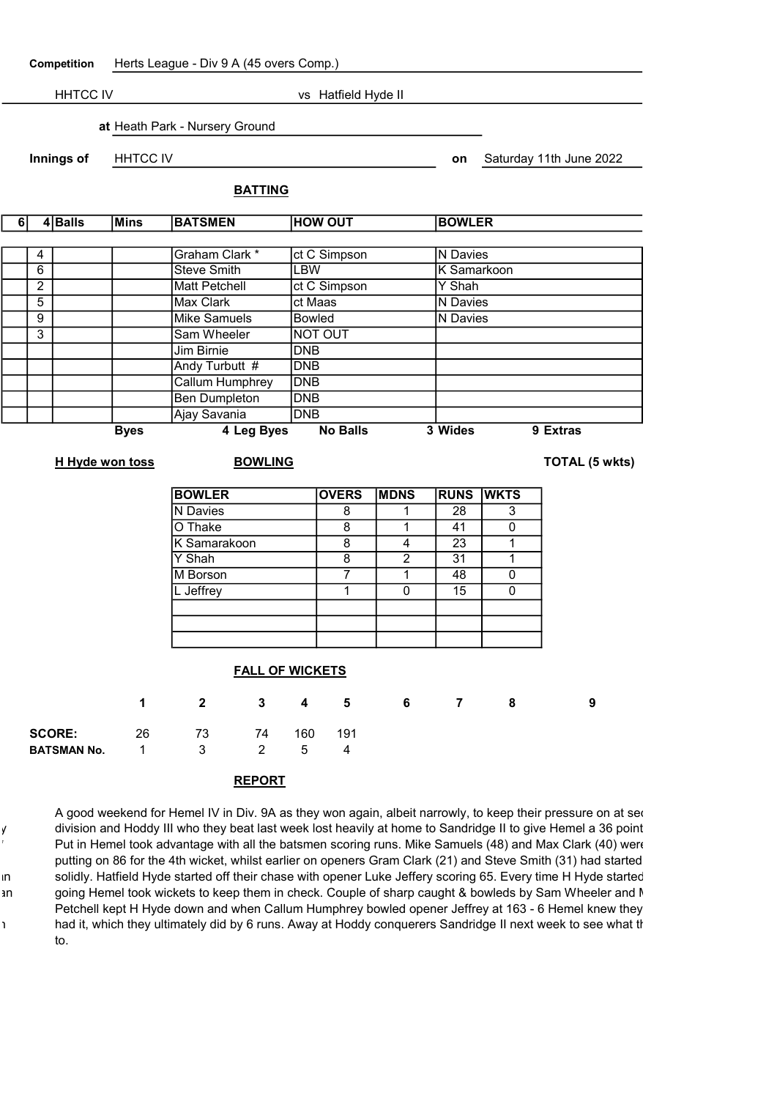Competition Herts League - Div 9 A (45 overs Comp.)

HHTCC IV vs Hatfield Hyde II at Heath Park - Nursery Ground Innings of HHTCC IV and Saturday 11th June 2022 BATTING

| 6 | 4 | <b>Balls</b> | Mins        | <b>BATSMEN</b>     | <b>HOW OUT</b>  | <b>BOWLER</b> |          |
|---|---|--------------|-------------|--------------------|-----------------|---------------|----------|
|   |   |              |             |                    |                 |               |          |
|   | 4 |              |             | Graham Clark *     | ct C Simpson    | N Davies      |          |
|   | 6 |              |             | <b>Steve Smith</b> | LBW             | K Samarkoon   |          |
|   | 2 |              |             | Matt Petchell      | ct C Simpson    | Y Shah        |          |
|   | 5 |              |             | Max Clark          | ct Maas         | N Davies      |          |
|   | 9 |              |             | Mike Samuels       | <b>Bowled</b>   | N Davies      |          |
|   | 3 |              |             | Sam Wheeler        | <b>NOT OUT</b>  |               |          |
|   |   |              |             | Jim Birnie         | <b>DNB</b>      |               |          |
|   |   |              |             | Andy Turbutt #     | <b>DNB</b>      |               |          |
|   |   |              |             | Callum Humphrey    | <b>DNB</b>      |               |          |
|   |   |              |             | Ben Dumpleton      | <b>DNB</b>      |               |          |
|   |   |              |             | Ajay Savania       | <b>DNB</b>      |               |          |
|   |   |              | <b>Byes</b> | 4 Leg Byes         | <b>No Balls</b> | 3 Wides       | 9 Extras |
|   |   |              |             |                    |                 |               |          |

H Hyde won toss BOWLING TOTAL (5 wkts)

| <b>BOWLER</b>   | <b>OVERS</b> | <b>MDNS</b> | <b>RUNS WKTS</b> |   |
|-----------------|--------------|-------------|------------------|---|
| <b>N</b> Davies | 8            |             | 28               | 3 |
| O Thake         | 8            |             | 41               |   |
| K Samarakoon    | 8            |             | 23               |   |
| Y Shah          | 8            | 2           | 31               |   |
| M Borson        |              |             | 48               |   |
| L Jeffrey       |              |             | 15               |   |
|                 |              |             |                  |   |
|                 |              |             |                  |   |
|                 |              |             |                  |   |

|                    | <b>FALL OF WICKETS</b> |              |              |     |     |    |   |   |   |
|--------------------|------------------------|--------------|--------------|-----|-----|----|---|---|---|
|                    | 1.                     | $\mathbf{2}$ | $\mathbf{3}$ | 4   | 5.  | -6 | 7 | 8 | 9 |
| <b>SCORE:</b>      | 26                     | 73           | 74           | 160 | 191 |    |   |   |   |
| <b>BATSMAN No.</b> | 1                      | 3            | 2            | 5   | 4   |    |   |   |   |
|                    |                        |              |              |     |     |    |   |   |   |

## REPORT

A good weekend for Hemel IV in Div. 9A as they won again, albeit narrowly, to keep their pressure on at second y division and Hoddy III who they beat last week lost heavily at home to Sandridge II to give Hemel a 36 point Put in Hemel took advantage with all the batsmen scoring runs. Mike Samuels (48) and Max Clark (40) were putting on 86 for the 4th wicket, whilst earlier on openers Gram Clark (21) and Steve Smith (31) had started in solidly. Hatfield Hyde started off their chase with opener Luke Jeffery scoring 65. Every time H Hyde started an going Hemel took wickets to keep them in check. Couple of sharp caught & bowleds by Sam Wheeler and Matter Petchell kept H Hyde down and when Callum Humphrey bowled opener Jeffrey at 163 - 6 Hemel knew they had it, which they ultimately did by 6 runs. Away at Hoddy conquerers Sandridge II next week to see what the to.